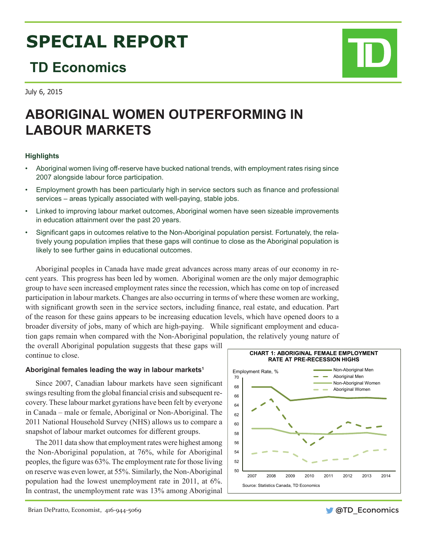# **SPECIAL REPORT**

# **TD Economics**

July 6, 2015

## **ABORIGINAL WOMEN OUTPERFORMING IN LABOUR MARKETS**

### **Highlights**

- Aboriginal women living off-reserve have bucked national trends, with employment rates rising since 2007 alongside labour force participation.
- Employment growth has been particularly high in service sectors such as finance and professional services – areas typically associated with well-paying, stable jobs.
- Linked to improving labour market outcomes, Aboriginal women have seen sizeable improvements in education attainment over the past 20 years.
- • Significant gaps in outcomes relative to the Non-Aboriginal population persist. Fortunately, the relatively young population implies that these gaps will continue to close as the Aboriginal population is likely to see further gains in educational outcomes.

Aboriginal peoples in Canada have made great advances across many areas of our economy in recent years. This progress has been led by women. Aboriginal women are the only major demographic group to have seen increased employment rates since the recession, which has come on top of increased participation in labour markets. Changes are also occurring in terms of where these women are working, with significant growth seen in the service sectors, including finance, real estate, and education. Part of the reason for these gains appears to be increasing education levels, which have opened doors to a broader diversity of jobs, many of which are high-paying. While significant employment and education gaps remain when compared with the Non-Aboriginal population, the relatively young nature of

the overall Aboriginal population suggests that these gaps will continue to close.

#### **Aboriginal females leading the way in labour markets1**

Since 2007, Canadian labour markets have seen significant swings resulting from the global financial crisis and subsequent recovery. These labour market gyrations have been felt by everyone in Canada – male or female, Aboriginal or Non-Aboriginal. The 2011 National Household Survey (NHS) allows us to compare a snapshot of labour market outcomes for different groups.

The 2011 data show that employment rates were highest among the Non-Aboriginal population, at 76%, while for Aboriginal peoples, the figure was 63%. The employment rate for those living on reserve was even lower, at 55%. Similarly, the Non-Aboriginal population had the lowest unemployment rate in 2011, at 6%. In contrast, the unemployment rate was 13% among Aboriginal



Brian DePratto, Economist, 416-944-5069

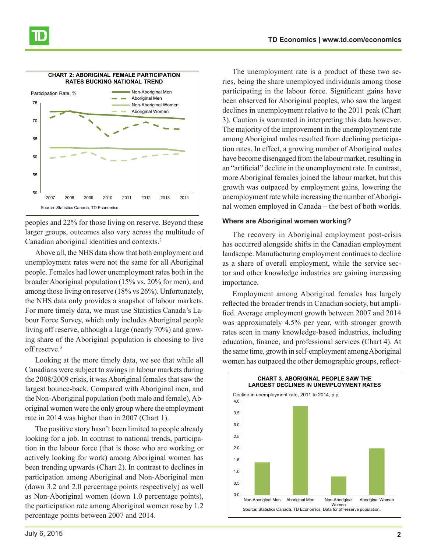

peoples and 22% for those living on reserve. Beyond these larger groups, outcomes also vary across the multitude of Canadian aboriginal identities and contexts.2

Above all, the NHS data show that both employment and unemployment rates were not the same for all Aboriginal people. Females had lower unemployment rates both in the broader Aboriginal population (15% vs. 20% for men), and among those living on reserve (18% vs 26%). Unfortunately, the NHS data only provides a snapshot of labour markets. For more timely data, we must use Statistics Canada's Labour Force Survey, which only includes Aboriginal people living off reserve, although a large (nearly 70%) and growing share of the Aboriginal population is choosing to live off reserve.<sup>3</sup>

Looking at the more timely data, we see that while all Canadians were subject to swings in labour markets during the 2008/2009 crisis, it was Aboriginal females that saw the largest bounce-back. Compared with Aboriginal men, and the Non-Aboriginal population (both male and female), Aboriginal women were the only group where the employment rate in 2014 was higher than in 2007 (Chart 1).

The positive story hasn't been limited to people already looking for a job. In contrast to national trends, participation in the labour force (that is those who are working or actively looking for work) among Aboriginal women has been trending upwards (Chart 2). In contrast to declines in participation among Aboriginal and Non-Aboriginal men (down 3.2 and 2.0 percentage points respectively) as well as Non-Aboriginal women (down 1.0 percentage points), the participation rate among Aboriginal women rose by 1.2 percentage points between 2007 and 2014.

The unemployment rate is a product of these two series, being the share unemployed individuals among those participating in the labour force. Significant gains have been observed for Aboriginal peoples, who saw the largest declines in unemployment relative to the 2011 peak (Chart 3). Caution is warranted in interpreting this data however. The majority of the improvement in the unemployment rate among Aboriginal males resulted from declining participation rates. In effect, a growing number of Aboriginal males have become disengaged from the labour market, resulting in an "artificial" decline in the unemployment rate. In contrast, more Aboriginal females joined the labour market, but this growth was outpaced by employment gains, lowering the unemployment rate while increasing the number of Aboriginal women employed in Canada – the best of both worlds.

#### **Where are Aboriginal women working?**

The recovery in Aboriginal employment post-crisis has occurred alongside shifts in the Canadian employment landscape. Manufacturing employment continues to decline as a share of overall employment, while the service sector and other knowledge industries are gaining increasing importance.

Employment among Aboriginal females has largely reflected the broader trends in Canadian society, but amplified. Average employment growth between 2007 and 2014 was approximately 4.5% per year, with stronger growth rates seen in many knowledge-based industries, including education, finance, and professional services (Chart 4). At the same time, growth in self-employment among Aboriginal women has outpaced the other demographic groups, reflect-

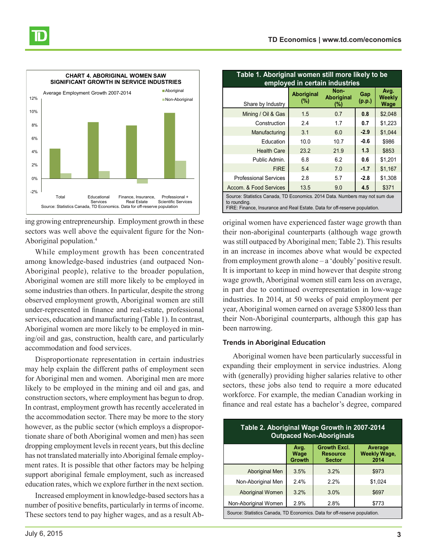

ing growing entrepreneurship. Employment growth in these sectors was well above the equivalent figure for the Non-Aboriginal population.4

While employment growth has been concentrated among knowledge-based industries (and outpaced Non-Aboriginal people), relative to the broader population, Aboriginal women are still more likely to be employed in some industries than others. In particular, despite the strong observed employment growth, Aboriginal women are still under-represented in finance and real-estate, professional services, education and manufacturing (Table 1). In contrast, Aboriginal women are more likely to be employed in mining/oil and gas, construction, health care, and particularly accommodation and food services.

Disproportionate representation in certain industries may help explain the different paths of employment seen for Aboriginal men and women. Aboriginal men are more likely to be employed in the mining and oil and gas, and construction sectors, where employment has begun to drop. In contrast, employment growth has recently accelerated in the accommodation sector. There may be more to the story however, as the public sector (which employs a disproportionate share of both Aboriginal women and men) has seen dropping employment levels in recent years, but this decline has not translated materially into Aboriginal female employment rates. It is possible that other factors may be helping support aboriginal female employment, such as increased education rates, which we explore further in the next section.

Increased employment in knowledge-based sectors has a number of positive benefits, particularly in terms of income. These sectors tend to pay higher wages, and as a result Ab-

| Table 1. Aboriginal women still more likely to be<br>employed in certain industries                                                                                       |                             |                              |               |                        |  |
|---------------------------------------------------------------------------------------------------------------------------------------------------------------------------|-----------------------------|------------------------------|---------------|------------------------|--|
| Share by Industry                                                                                                                                                         | <b>Aboriginal</b><br>$(\%)$ | Non-<br>Aboriginal<br>$(\%)$ | Gap<br>(p.p.) | Avg.<br>Weekly<br>Wage |  |
| Mining / Oil & Gas                                                                                                                                                        | 1.5                         | 0.7                          | 0.8           | \$2,048                |  |
| Construction                                                                                                                                                              | 24                          | 1.7                          | 0.7           | \$1,223                |  |
| Manufacturing                                                                                                                                                             | 3.1                         | 6.0                          | $-2.9$        | \$1,044                |  |
| Education                                                                                                                                                                 | 10.0                        | 10.7                         | $-0.6$        | \$986                  |  |
| <b>Health Care</b>                                                                                                                                                        | 23.2                        | 21.9                         | 1.3           | \$853                  |  |
| Public Admin.                                                                                                                                                             | 6.8                         | 6.2                          | 0.6           | \$1,201                |  |
| <b>FIRE</b>                                                                                                                                                               | 5.4                         | 7.0                          | $-1.7$        | \$1,167                |  |
| <b>Professional Services</b>                                                                                                                                              | 2.8                         | 5.7                          | $-2.8$        | \$1,308                |  |
| Accom. & Food Services                                                                                                                                                    | 13.5                        | 9.0                          | 4.5           | \$371                  |  |
| Source: Statistics Canada, TD Economics. 2014 Data. Numbers may not sum due<br>to rounding.<br>FIRE: Finance, Insurance and Real Estate. Data for off-reserve population. |                             |                              |               |                        |  |

original women have experienced faster wage growth than their non-aboriginal counterparts (although wage growth was still outpaced by Aboriginal men; Table 2). This results in an increase in incomes above what would be expected from employment growth alone – a 'doubly' positive result. It is important to keep in mind however that despite strong wage growth, Aboriginal women still earn less on average, in part due to continued overrepresentation in low-wage industries. In 2014, at 50 weeks of paid employment per year, Aboriginal women earned on average \$3800 less than their Non-Aboriginal counterparts, although this gap has been narrowing.

#### **Trends in Aboriginal Education**

Aboriginal women have been particularly successful in expanding their employment in service industries. Along with (generally) providing higher salaries relative to other sectors, these jobs also tend to require a more educated workforce. For example, the median Canadian working in finance and real estate has a bachelor's degree, compared

| Table 2. Aboriginal Wage Growth in 2007-2014<br><b>Outpaced Non-Aboriginals</b> |                               |                                                         |                                        |  |  |
|---------------------------------------------------------------------------------|-------------------------------|---------------------------------------------------------|----------------------------------------|--|--|
|                                                                                 | Avg.<br>Wage<br><b>Growth</b> | <b>Growth Excl.</b><br><b>Resource</b><br><b>Sector</b> | Average<br><b>Weekly Wage,</b><br>2014 |  |  |
| <b>Aboriginal Men</b>                                                           | 3.5%                          | 3.2%                                                    | \$973                                  |  |  |
| Non-Aboriginal Men                                                              | 2.4%                          | 2.2%                                                    | \$1.024                                |  |  |
| <b>Aboriginal Women</b>                                                         | 3.2%                          | 3.0%                                                    | \$697                                  |  |  |
| Non-Aboriginal Women                                                            | 2.9%                          | 2.8%                                                    | \$773                                  |  |  |
| Source: Statistics Canada, TD Economics. Data for off-reserve population.       |                               |                                                         |                                        |  |  |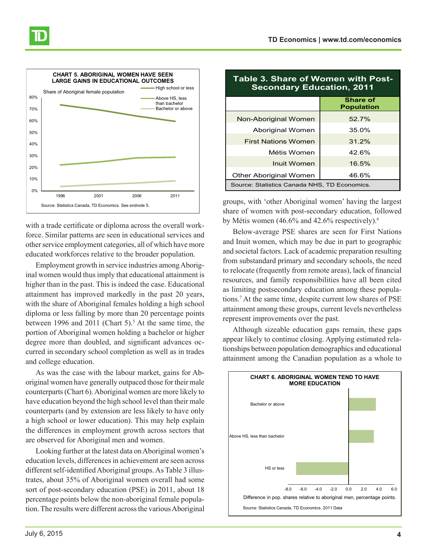



with a trade certificate or diploma across the overall workforce. Similar patterns are seen in educational services and other service employment categories, all of which have more educated workforces relative to the broader population.

Employment growth in service industries among Aboriginal women would thus imply that educational attainment is higher than in the past. This is indeed the case. Educational attainment has improved markedly in the past 20 years, with the share of Aboriginal females holding a high school diploma or less falling by more than 20 percentage points between 1996 and 2011 (Chart 5).<sup>5</sup> At the same time, the portion of Aboriginal women holding a bachelor or higher degree more than doubled, and significant advances occurred in secondary school completion as well as in trades and college education.

As was the case with the labour market, gains for Aboriginal women have generally outpaced those for their male counterparts (Chart 6). Aboriginal women are more likely to have education beyond the high school level than their male counterparts (and by extension are less likely to have only a high school or lower education). This may help explain the differences in employment growth across sectors that are observed for Aboriginal men and women.

Looking further at the latest data on Aboriginal women's education levels, differences in achievement are seen across different self-identified Aboriginal groups. As Table 3 illustrates, about 35% of Aboriginal women overall had some sort of post-secondary education (PSE) in 2011, about 18 percentage points below the non-aboriginal female population. The results were different across the various Aboriginal

| <b>Table 3. Share of Women with Post-</b><br><b>Secondary Education, 2011</b> |                                      |  |  |  |
|-------------------------------------------------------------------------------|--------------------------------------|--|--|--|
|                                                                               | <b>Share of</b><br><b>Population</b> |  |  |  |
| Non-Aboriginal Women                                                          | 52.7%                                |  |  |  |
| Aboriginal Women                                                              | 35.0%                                |  |  |  |
| <b>First Nations Women</b>                                                    | 31.2%                                |  |  |  |
| Métis Women                                                                   | 42.6%                                |  |  |  |
| Inuit Women                                                                   | 16.5%                                |  |  |  |
| Other Aboriginal Women                                                        | 46.6%                                |  |  |  |
| Source: Statistics Canada NHS, TD Economics.                                  |                                      |  |  |  |

groups, with 'other Aboriginal women' having the largest share of women with post-secondary education, followed by Métis women (46.6% and 42.6% respectively).<sup>6</sup>

Below-average PSE shares are seen for First Nations and Inuit women, which may be due in part to geographic and societal factors. Lack of academic preparation resulting from substandard primary and secondary schools, the need to relocate (frequently from remote areas), lack of financial resources, and family responsibilities have all been cited as limiting postsecondary education among these populations.7 At the same time, despite current low shares of PSE attainment among these groups, current levels nevertheless represent improvements over the past.

Although sizeable education gaps remain, these gaps appear likely to continue closing. Applying estimated relationships between population demographics and educational attainment among the Canadian population as a whole to

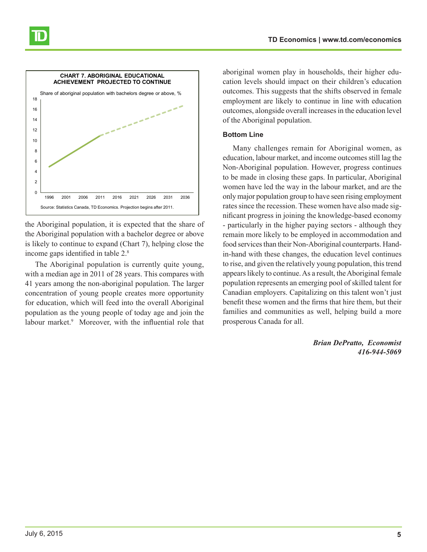



the Aboriginal population, it is expected that the share of the Aboriginal population with a bachelor degree or above is likely to continue to expand (Chart 7), helping close the income gaps identified in table 2.<sup>8</sup>

The Aboriginal population is currently quite young, with a median age in 2011 of 28 years. This compares with 41 years among the non-aboriginal population. The larger concentration of young people creates more opportunity for education, which will feed into the overall Aboriginal population as the young people of today age and join the labour market.<sup>9</sup> Moreover, with the influential role that

aboriginal women play in households, their higher education levels should impact on their children's education outcomes. This suggests that the shifts observed in female employment are likely to continue in line with education outcomes, alongside overall increases in the education level of the Aboriginal population.

#### **Bottom Line**

Many challenges remain for Aboriginal women, as education, labour market, and income outcomes still lag the Non-Aboriginal population. However, progress continues to be made in closing these gaps. In particular, Aboriginal women have led the way in the labour market, and are the only major population group to have seen rising employment rates since the recession. These women have also made significant progress in joining the knowledge-based economy - particularly in the higher paying sectors - although they remain more likely to be employed in accommodation and food services than their Non-Aboriginal counterparts. Handin-hand with these changes, the education level continues to rise, and given the relatively young population, this trend appears likely to continue. As a result, the Aboriginal female population represents an emerging pool of skilled talent for Canadian employers. Capitalizing on this talent won't just benefit these women and the firms that hire them, but their families and communities as well, helping build a more prosperous Canada for all.

> *Brian DePratto, Economist 416-944-5069*